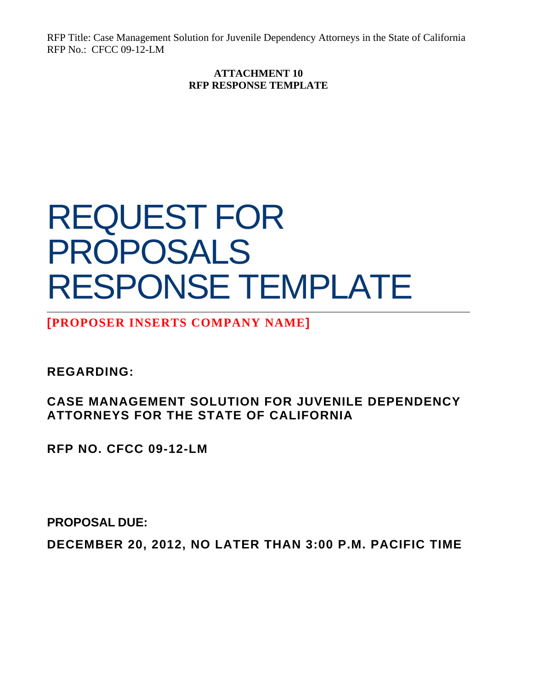## **ATTACHMENT 10 RFP RESPONSE TEMPLATE**

# REQUEST FOR PROPOSALS RESPONSE TEMPLATE

**[PROPOSER INSERTS COMPANY NAME]** 

**REGARDING:** 

**CASE MANAGEMENT SOLUTION FOR JUVENILE DEPENDENCY ATTORNEYS FOR THE STATE OF CALIFORNIA** 

**RFP NO. CFCC 09-12-LM** 

**PROPOSAL DUE:**

**DECEMBER 20, 2012, NO LATER THAN 3:00 P.M. PACIFIC TIME**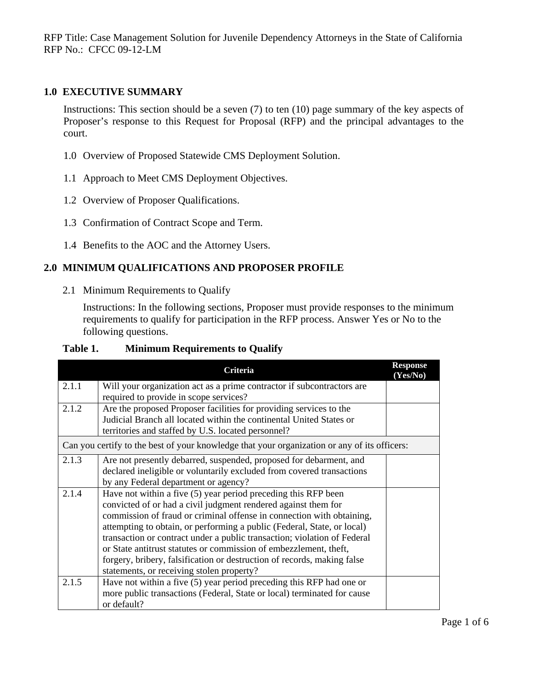## **1.0 EXECUTIVE SUMMARY**

Instructions: This section should be a seven (7) to ten (10) page summary of the key aspects of Proposer's response to this Request for Proposal (RFP) and the principal advantages to the court.

- 1.0 Overview of Proposed Statewide CMS Deployment Solution.
- 1.1 Approach to Meet CMS Deployment Objectives.
- 1.2 Overview of Proposer Qualifications.
- 1.3 Confirmation of Contract Scope and Term.
- 1.4 Benefits to the AOC and the Attorney Users.

## **2.0 MINIMUM QUALIFICATIONS AND PROPOSER PROFILE**

2.1 Minimum Requirements to Qualify

Instructions: In the following sections, Proposer must provide responses to the minimum requirements to qualify for participation in the RFP process. Answer Yes or No to the following questions.

## **Table 1. Minimum Requirements to Qualify**

|                                                                                              | Criteria                                                                 | <b>Response</b><br>(Yes/No) |  |
|----------------------------------------------------------------------------------------------|--------------------------------------------------------------------------|-----------------------------|--|
| 2.1.1                                                                                        | Will your organization act as a prime contractor if subcontractors are   |                             |  |
|                                                                                              | required to provide in scope services?                                   |                             |  |
| 2.1.2                                                                                        | Are the proposed Proposer facilities for providing services to the       |                             |  |
|                                                                                              | Judicial Branch all located within the continental United States or      |                             |  |
|                                                                                              | territories and staffed by U.S. located personnel?                       |                             |  |
| Can you certify to the best of your knowledge that your organization or any of its officers: |                                                                          |                             |  |
| 2.1.3                                                                                        | Are not presently debarred, suspended, proposed for debarment, and       |                             |  |
|                                                                                              | declared ineligible or voluntarily excluded from covered transactions    |                             |  |
|                                                                                              | by any Federal department or agency?                                     |                             |  |
| 2.1.4                                                                                        | Have not within a five (5) year period preceding this RFP been           |                             |  |
|                                                                                              | convicted of or had a civil judgment rendered against them for           |                             |  |
|                                                                                              | commission of fraud or criminal offense in connection with obtaining,    |                             |  |
|                                                                                              | attempting to obtain, or performing a public (Federal, State, or local)  |                             |  |
|                                                                                              | transaction or contract under a public transaction; violation of Federal |                             |  |
|                                                                                              | or State antitrust statutes or commission of embezzlement, theft,        |                             |  |
|                                                                                              | forgery, bribery, falsification or destruction of records, making false  |                             |  |
|                                                                                              | statements, or receiving stolen property?                                |                             |  |
| 2.1.5                                                                                        | Have not within a five $(5)$ year period preceding this RFP had one or   |                             |  |
|                                                                                              | more public transactions (Federal, State or local) terminated for cause  |                             |  |
|                                                                                              | or default?                                                              |                             |  |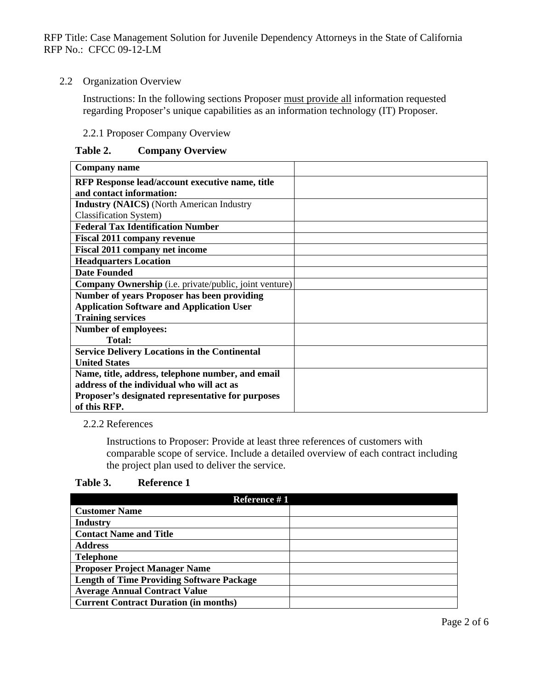## 2.2 Organization Overview

Instructions: In the following sections Proposer must provide all information requested regarding Proposer's unique capabilities as an information technology (IT) Proposer.

## 2.2.1 Proposer Company Overview

## **Table 2. Company Overview**

| <b>Company name</b>                                           |  |
|---------------------------------------------------------------|--|
| RFP Response lead/account executive name, title               |  |
| and contact information:                                      |  |
| <b>Industry (NAICS)</b> (North American Industry              |  |
| <b>Classification System</b> )                                |  |
| <b>Federal Tax Identification Number</b>                      |  |
| <b>Fiscal 2011 company revenue</b>                            |  |
| <b>Fiscal 2011 company net income</b>                         |  |
| <b>Headquarters Location</b>                                  |  |
| <b>Date Founded</b>                                           |  |
| <b>Company Ownership</b> (i.e. private/public, joint venture) |  |
| <b>Number of years Proposer has been providing</b>            |  |
| <b>Application Software and Application User</b>              |  |
| <b>Training services</b>                                      |  |
| <b>Number of employees:</b>                                   |  |
| <b>Total:</b>                                                 |  |
| <b>Service Delivery Locations in the Continental</b>          |  |
| <b>United States</b>                                          |  |
| Name, title, address, telephone number, and email             |  |
| address of the individual who will act as                     |  |
| <b>Proposer's designated representative for purposes</b>      |  |
| of this RFP.                                                  |  |

## 2.2.2 References

Instructions to Proposer: Provide at least three references of customers with comparable scope of service. Include a detailed overview of each contract including the project plan used to deliver the service.

## **Table 3. Reference 1**

| Reference #1                                     |  |  |
|--------------------------------------------------|--|--|
| <b>Customer Name</b>                             |  |  |
| <b>Industry</b>                                  |  |  |
| <b>Contact Name and Title</b>                    |  |  |
| <b>Address</b>                                   |  |  |
| <b>Telephone</b>                                 |  |  |
| <b>Proposer Project Manager Name</b>             |  |  |
| <b>Length of Time Providing Software Package</b> |  |  |
| <b>Average Annual Contract Value</b>             |  |  |
| <b>Current Contract Duration (in months)</b>     |  |  |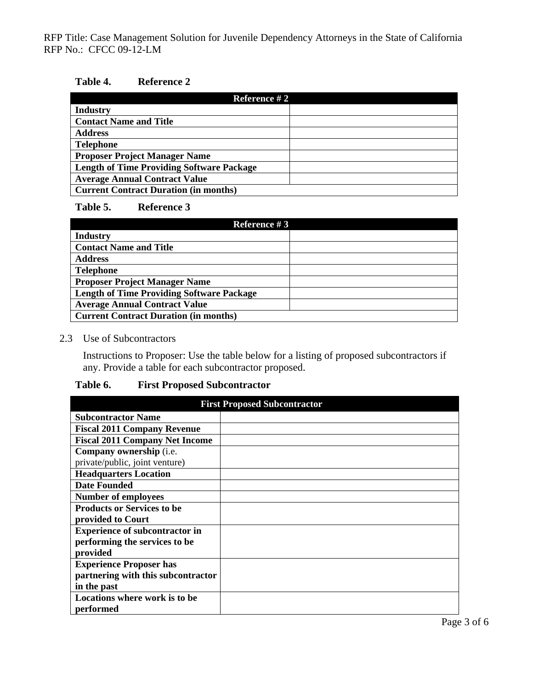## **Table 4. Reference 2**

| Reference #2                                     |  |  |
|--------------------------------------------------|--|--|
| <b>Industry</b>                                  |  |  |
| <b>Contact Name and Title</b>                    |  |  |
| <b>Address</b>                                   |  |  |
| <b>Telephone</b>                                 |  |  |
| <b>Proposer Project Manager Name</b>             |  |  |
| <b>Length of Time Providing Software Package</b> |  |  |
| <b>Average Annual Contract Value</b>             |  |  |
| <b>Current Contract Duration (in months)</b>     |  |  |

# **Table 5. Reference 3**

| Reference #3                                     |  |  |
|--------------------------------------------------|--|--|
| <b>Industry</b>                                  |  |  |
| <b>Contact Name and Title</b>                    |  |  |
| <b>Address</b>                                   |  |  |
| <b>Telephone</b>                                 |  |  |
| <b>Proposer Project Manager Name</b>             |  |  |
| <b>Length of Time Providing Software Package</b> |  |  |
| <b>Average Annual Contract Value</b>             |  |  |
| <b>Current Contract Duration (in months)</b>     |  |  |

#### 2.3 Use of Subcontractors

Instructions to Proposer: Use the table below for a listing of proposed subcontractors if any. Provide a table for each subcontractor proposed.

## **Table 6. First Proposed Subcontractor**

| <b>First Proposed Subcontractor</b>   |  |  |
|---------------------------------------|--|--|
| <b>Subcontractor Name</b>             |  |  |
| <b>Fiscal 2011 Company Revenue</b>    |  |  |
| <b>Fiscal 2011 Company Net Income</b> |  |  |
| Company ownership (i.e.               |  |  |
| private/public, joint venture)        |  |  |
| <b>Headquarters Location</b>          |  |  |
| <b>Date Founded</b>                   |  |  |
| <b>Number of employees</b>            |  |  |
| <b>Products or Services to be</b>     |  |  |
| provided to Court                     |  |  |
| <b>Experience of subcontractor in</b> |  |  |
| performing the services to be         |  |  |
| provided                              |  |  |
| <b>Experience Proposer has</b>        |  |  |
| partnering with this subcontractor    |  |  |
| in the past                           |  |  |
| Locations where work is to be         |  |  |
| performed                             |  |  |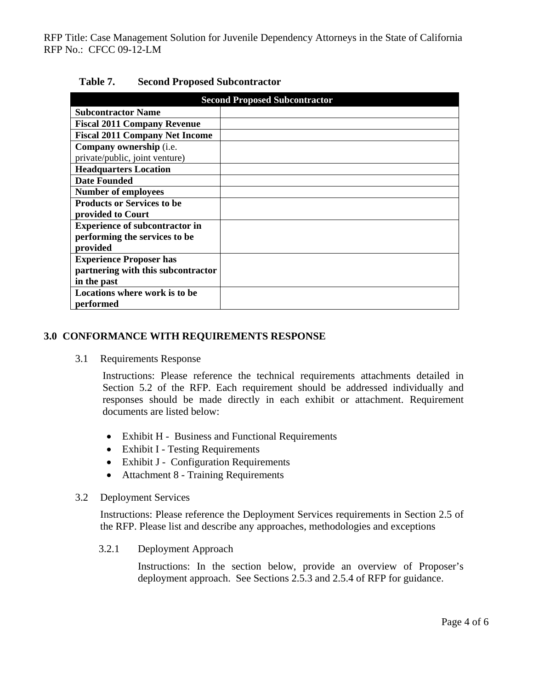| <b>Second Proposed Subcontractor</b>  |  |  |
|---------------------------------------|--|--|
| <b>Subcontractor Name</b>             |  |  |
| <b>Fiscal 2011 Company Revenue</b>    |  |  |
| <b>Fiscal 2011 Company Net Income</b> |  |  |
| <b>Company ownership (i.e.</b>        |  |  |
| private/public, joint venture)        |  |  |
| <b>Headquarters Location</b>          |  |  |
| <b>Date Founded</b>                   |  |  |
| <b>Number of employees</b>            |  |  |
| <b>Products or Services to be</b>     |  |  |
| provided to Court                     |  |  |
| <b>Experience of subcontractor in</b> |  |  |
| performing the services to be         |  |  |
| provided                              |  |  |
| <b>Experience Proposer has</b>        |  |  |
| partnering with this subcontractor    |  |  |
| in the past                           |  |  |
| Locations where work is to be         |  |  |
| performed                             |  |  |

## **Table 7. Second Proposed Subcontractor**

## **3.0 CONFORMANCE WITH REQUIREMENTS RESPONSE**

#### 3.1 Requirements Response

Instructions: Please reference the technical requirements attachments detailed in Section 5.2 of the RFP. Each requirement should be addressed individually and responses should be made directly in each exhibit or attachment. Requirement documents are listed below:

- Exhibit H Business and Functional Requirements
- Exhibit I Testing Requirements
- Exhibit J Configuration Requirements
- Attachment 8 Training Requirements

#### 3.2 Deployment Services

Instructions: Please reference the Deployment Services requirements in Section 2.5 of the RFP. Please list and describe any approaches, methodologies and exceptions

3.2.1 Deployment Approach

Instructions: In the section below, provide an overview of Proposer's deployment approach. See Sections 2.5.3 and 2.5.4 of RFP for guidance.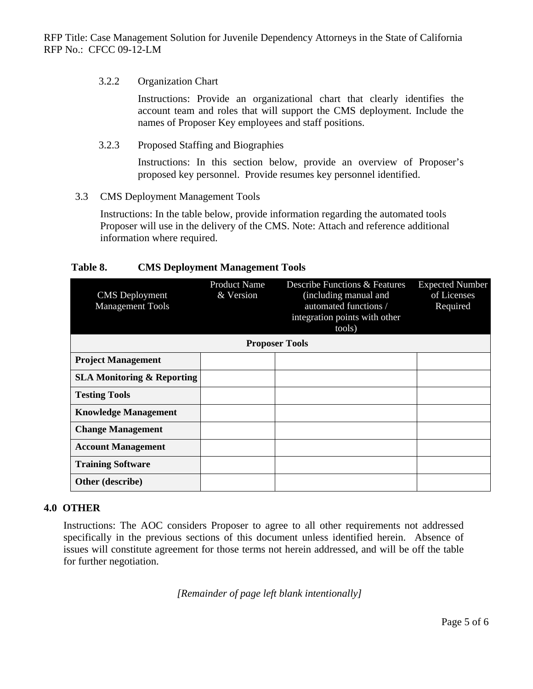## 3.2.2 Organization Chart

 Instructions: Provide an organizational chart that clearly identifies the account team and roles that will support the CMS deployment. Include the names of Proposer Key employees and staff positions.

3.2.3 Proposed Staffing and Biographies

 Instructions: In this section below, provide an overview of Proposer's proposed key personnel. Provide resumes key personnel identified.

## 3.3 CMS Deployment Management Tools

Instructions: In the table below, provide information regarding the automated tools Proposer will use in the delivery of the CMS. Note: Attach and reference additional information where required.

| Table 8. | <b>CMS Deployment Management Tools</b> |
|----------|----------------------------------------|
|          |                                        |

| <b>CMS</b> Deployment<br><b>Management Tools</b> | <b>Product Name</b><br>& Version | <b>Describe Functions &amp; Features</b><br>(including manual and<br>automated functions /<br>integration points with other<br>tools) | <b>Expected Number</b><br>of Licenses<br>Required |
|--------------------------------------------------|----------------------------------|---------------------------------------------------------------------------------------------------------------------------------------|---------------------------------------------------|
| <b>Proposer Tools</b>                            |                                  |                                                                                                                                       |                                                   |
| <b>Project Management</b>                        |                                  |                                                                                                                                       |                                                   |
| <b>SLA Monitoring &amp; Reporting</b>            |                                  |                                                                                                                                       |                                                   |
| <b>Testing Tools</b>                             |                                  |                                                                                                                                       |                                                   |
| <b>Knowledge Management</b>                      |                                  |                                                                                                                                       |                                                   |
| <b>Change Management</b>                         |                                  |                                                                                                                                       |                                                   |
| <b>Account Management</b>                        |                                  |                                                                                                                                       |                                                   |
| <b>Training Software</b>                         |                                  |                                                                                                                                       |                                                   |
| Other (describe)                                 |                                  |                                                                                                                                       |                                                   |

## **4.0 OTHER**

Instructions: The AOC considers Proposer to agree to all other requirements not addressed specifically in the previous sections of this document unless identified herein. Absence of issues will constitute agreement for those terms not herein addressed, and will be off the table for further negotiation.

*[Remainder of page left blank intentionally]*